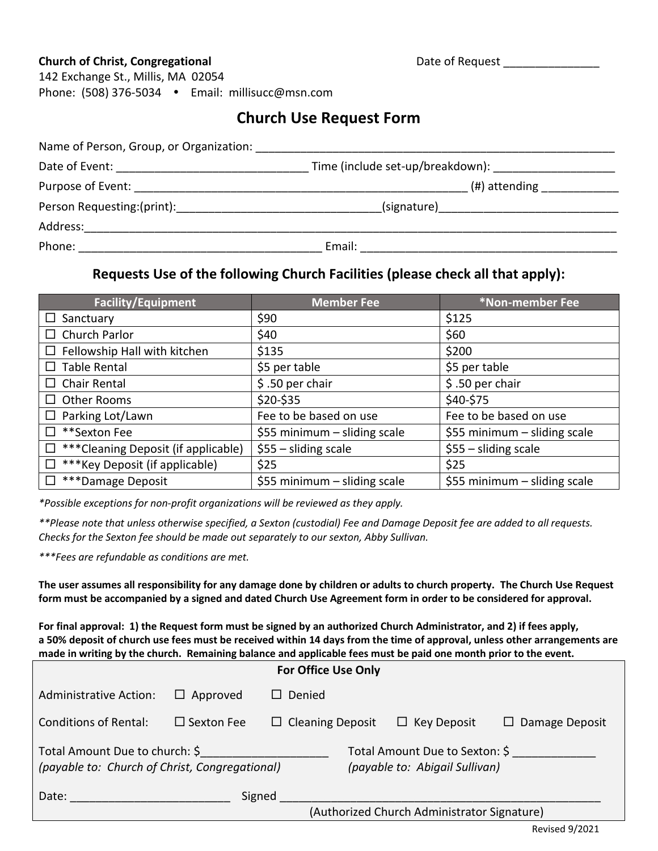#### **Church of Christ, Congregational Change 2018 Church of Request Church Christ, Congregational Change 2018**

142 Exchange St., Millis, MA 02054 Phone: (508) 376-5034 Email: [millisucc@msn.com](mailto:millisucc@msn.com)

# **Church Use Request Form**

| Name of Person, Group, or Organization: Name of Person and Service and Service of Person, Group, and Service and Service and Service and Service and Service and Service and Service and Service and Service and Service and S |                                  |
|--------------------------------------------------------------------------------------------------------------------------------------------------------------------------------------------------------------------------------|----------------------------------|
|                                                                                                                                                                                                                                | Time (include set-up/breakdown): |
| Purpose of Event:                                                                                                                                                                                                              | (#) attending                    |
| Person Requesting:(print): Management Contains and Person Requesting: (print):                                                                                                                                                 | (signature)                      |
| Address:                                                                                                                                                                                                                       |                                  |
| Phone:                                                                                                                                                                                                                         | Email:                           |

### **Requests Use of the following Church Facilities (please check all that apply):**

| <b>Facility/Equipment</b>                 | <b>Member Fee</b>              | *Non-member Fee                |
|-------------------------------------------|--------------------------------|--------------------------------|
| Sanctuary                                 | \$90                           | \$125                          |
| Church Parlor                             | \$40                           | \$60                           |
| Fellowship Hall with kitchen              | \$135                          | \$200                          |
| <b>Table Rental</b>                       | \$5 per table                  | \$5 per table                  |
| <b>Chair Rental</b><br>$\Box$             | \$.50 per chair                | \$.50 per chair                |
| Other Rooms                               | \$20-\$35                      | \$40-\$75                      |
| Parking Lot/Lawn<br>$\Box$                | Fee to be based on use         | Fee to be based on use         |
| **Sexton Fee                              | \$55 minimum $-$ sliding scale | \$55 minimum - sliding scale   |
| *** Cleaning Deposit (if applicable)<br>□ | $$55 - sliding scale$          | $$55 - sliding scale$          |
| *** Key Deposit (if applicable)<br>$\Box$ | \$25                           | \$25                           |
| ***Damage Deposit                         | \$55 minimum $-$ sliding scale | \$55 minimum $-$ sliding scale |

*\*Possible exceptions for non-profit organizations will be reviewed as they apply.*

*\*\*Please note that unless otherwise specified, a Sexton (custodial) Fee and Damage Deposit fee are added to all requests. Checks for the Sexton fee should be made out separately to our sexton, Abby Sullivan.*

*\*\*\*Fees are refundable as conditions are met.*

**The user assumes all responsibility for any damage done by children or adults to church property. The Church Use Request form must be accompanied by a signed and dated Church Use Agreement form in order to be considered for approval.** 

**For final approval: 1) the Request form must be signed by an authorized Church Administrator, and 2) if fees apply, a 50% deposit of church use fees must be received within 14 days from the time of approval, unless other arrangements are made in writing by the church. Remaining balance and applicable fees must be paid one month prior to the event.**

| <b>For Office Use Only</b>                                                       |                   |                                                                  |  |                                             |                       |
|----------------------------------------------------------------------------------|-------------------|------------------------------------------------------------------|--|---------------------------------------------|-----------------------|
| Administrative Action:                                                           | $\Box$ Approved   | $\Box$ Denied                                                    |  |                                             |                       |
| <b>Conditions of Rental:</b>                                                     | $\Box$ Sexton Fee | $\Box$ Cleaning Deposit                                          |  | $\Box$ Key Deposit                          | $\Box$ Damage Deposit |
| Total Amount Due to church: \$<br>(payable to: Church of Christ, Congregational) |                   | Total Amount Due to Sexton: \$<br>(payable to: Abigail Sullivan) |  |                                             |                       |
| Date:                                                                            |                   | Signed                                                           |  | (Authorized Church Administrator Signature) |                       |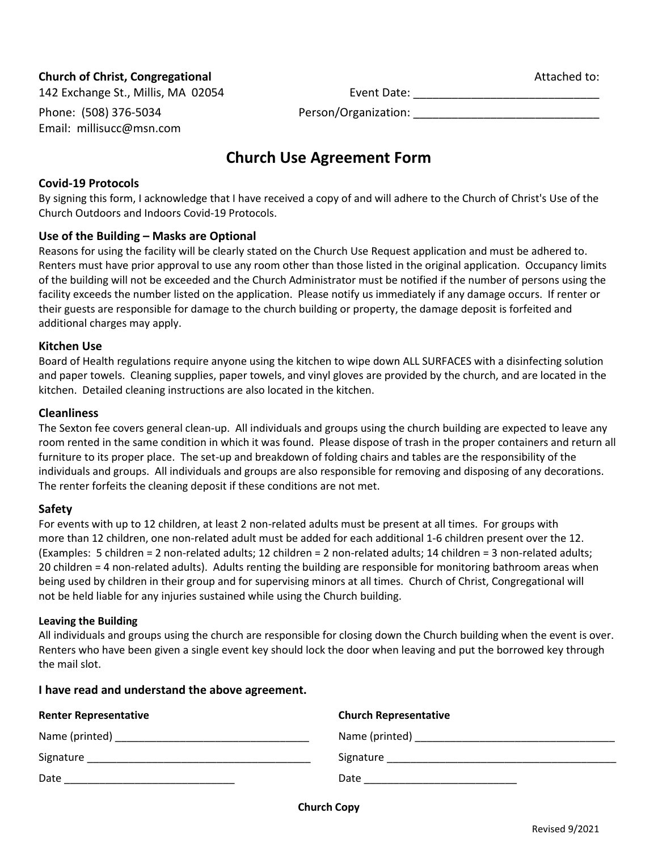#### **Church of Christ, Congregational Attached to: Church of Christ, Congregational** Attached to:

Email: [millisucc@msn.com](mailto:millisucc@msn.com)

142 Exchange St., Millis, MA 02054 **Event Date:** \_\_\_\_\_\_\_\_\_\_\_\_\_\_\_\_\_\_\_\_\_\_\_\_\_\_\_\_\_\_\_\_\_

Phone: (508) 376-5034 Person/Organization:

# **Church Use Agreement Form**

#### **Covid-19 Protocols**

By signing this form, I acknowledge that I have received a copy of and will adhere to the Church of Christ's Use of the Church Outdoors and Indoors Covid-19 Protocols.

#### **Use of the Building – Masks are Optional**

Reasons for using the facility will be clearly stated on the Church Use Request application and must be adhered to. Renters must have prior approval to use any room other than those listed in the original application. Occupancy limits of the building will not be exceeded and the Church Administrator must be notified if the number of persons using the facility exceeds the number listed on the application. Please notify us immediately if any damage occurs. If renter or their guests are responsible for damage to the church building or property, the damage deposit is forfeited and additional charges may apply.

#### **Kitchen Use**

Board of Health regulations require anyone using the kitchen to wipe down ALL SURFACES with a disinfecting solution and paper towels. Cleaning supplies, paper towels, and vinyl gloves are provided by the church, and are located in the kitchen. Detailed cleaning instructions are also located in the kitchen.

#### **Cleanliness**

The Sexton fee covers general clean-up. All individuals and groups using the church building are expected to leave any room rented in the same condition in which it was found. Please dispose of trash in the proper containers and return all furniture to its proper place. The set-up and breakdown of folding chairs and tables are the responsibility of the individuals and groups. All individuals and groups are also responsible for removing and disposing of any decorations. The renter forfeits the cleaning deposit if these conditions are not met.

#### **Safety**

For events with up to 12 children, at least 2 non-related adults must be present at all times. For groups with more than 12 children, one non-related adult must be added for each additional 1-6 children present over the 12. (Examples: 5 children = 2 non-related adults; 12 children = 2 non-related adults; 14 children = 3 non-related adults; 20 children = 4 non-related adults). Adults renting the building are responsible for monitoring bathroom areas when being used by children in their group and for supervising minors at all times. Church of Christ, Congregational will not be held liable for any injuries sustained while using the Church building.

#### **Leaving the Building**

All individuals and groups using the church are responsible for closing down the Church building when the event is over. Renters who have been given a single event key should lock the door when leaving and put the borrowed key through the mail slot.

#### **I have read and understand the above agreement.**

| <b>Renter Representative</b> | <b>Church Representative</b>         |
|------------------------------|--------------------------------------|
|                              | Name (printed) _____________________ |
| Signature                    | Signature                            |
| Date                         | Date                                 |

**Church Copy**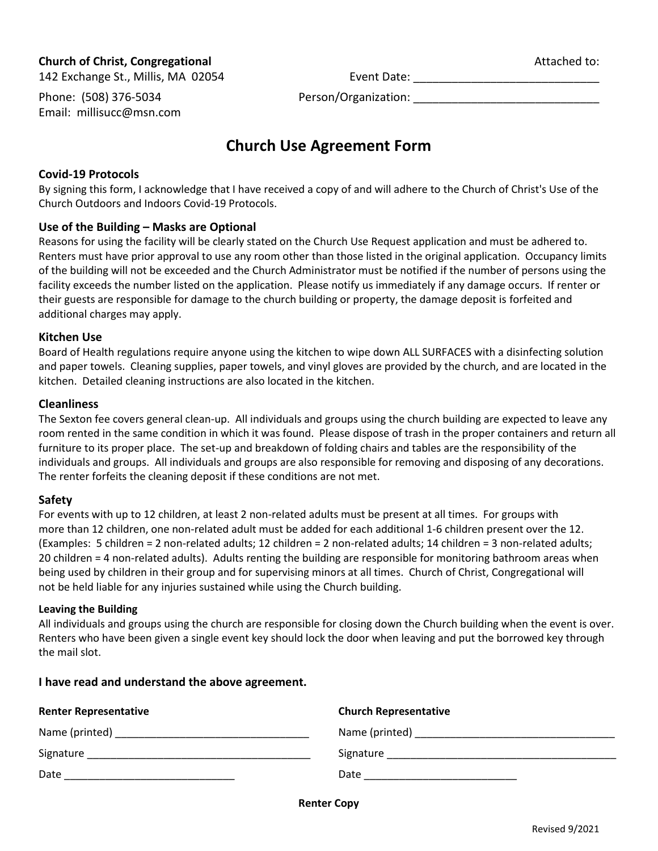#### **Church of Christ, Congregational Attached to:** Attached to:

142 Exchange St., Millis, MA 02054 Event Date: Phone: (508) 376-5034 Person/Organization: Email: [millisucc@msn.com](mailto:millisucc@msn.com)

# **Church Use Agreement Form**

#### **Covid-19 Protocols**

By signing this form, I acknowledge that I have received a copy of and will adhere to the Church of Christ's Use of the Church Outdoors and Indoors Covid-19 Protocols.

#### **Use of the Building – Masks are Optional**

Reasons for using the facility will be clearly stated on the Church Use Request application and must be adhered to. Renters must have prior approval to use any room other than those listed in the original application. Occupancy limits of the building will not be exceeded and the Church Administrator must be notified if the number of persons using the facility exceeds the number listed on the application. Please notify us immediately if any damage occurs. If renter or their guests are responsible for damage to the church building or property, the damage deposit is forfeited and additional charges may apply.

#### **Kitchen Use**

Board of Health regulations require anyone using the kitchen to wipe down ALL SURFACES with a disinfecting solution and paper towels. Cleaning supplies, paper towels, and vinyl gloves are provided by the church, and are located in the kitchen. Detailed cleaning instructions are also located in the kitchen.

#### **Cleanliness**

The Sexton fee covers general clean-up. All individuals and groups using the church building are expected to leave any room rented in the same condition in which it was found. Please dispose of trash in the proper containers and return all furniture to its proper place. The set-up and breakdown of folding chairs and tables are the responsibility of the individuals and groups. All individuals and groups are also responsible for removing and disposing of any decorations. The renter forfeits the cleaning deposit if these conditions are not met.

#### **Safety**

For events with up to 12 children, at least 2 non-related adults must be present at all times. For groups with more than 12 children, one non-related adult must be added for each additional 1-6 children present over the 12. (Examples: 5 children = 2 non-related adults; 12 children = 2 non-related adults; 14 children = 3 non-related adults; 20 children = 4 non-related adults). Adults renting the building are responsible for monitoring bathroom areas when being used by children in their group and for supervising minors at all times. Church of Christ, Congregational will not be held liable for any injuries sustained while using the Church building.

#### **Leaving the Building**

All individuals and groups using the church are responsible for closing down the Church building when the event is over. Renters who have been given a single event key should lock the door when leaving and put the borrowed key through the mail slot.

#### **I have read and understand the above agreement.**

| <b>Renter Representative</b>                                                                                                       | <b>Church Representative</b> |
|------------------------------------------------------------------------------------------------------------------------------------|------------------------------|
| Name (printed) Name (printed)                                                                                                      |                              |
| Signature<br><u> 1980 - Jan Berlin, Amerikaansk kanton en beskriuwer om de ferske om de ferske om de ferske om de ferske om de</u> | Signature                    |
| Date                                                                                                                               | Date                         |

**Renter Copy**